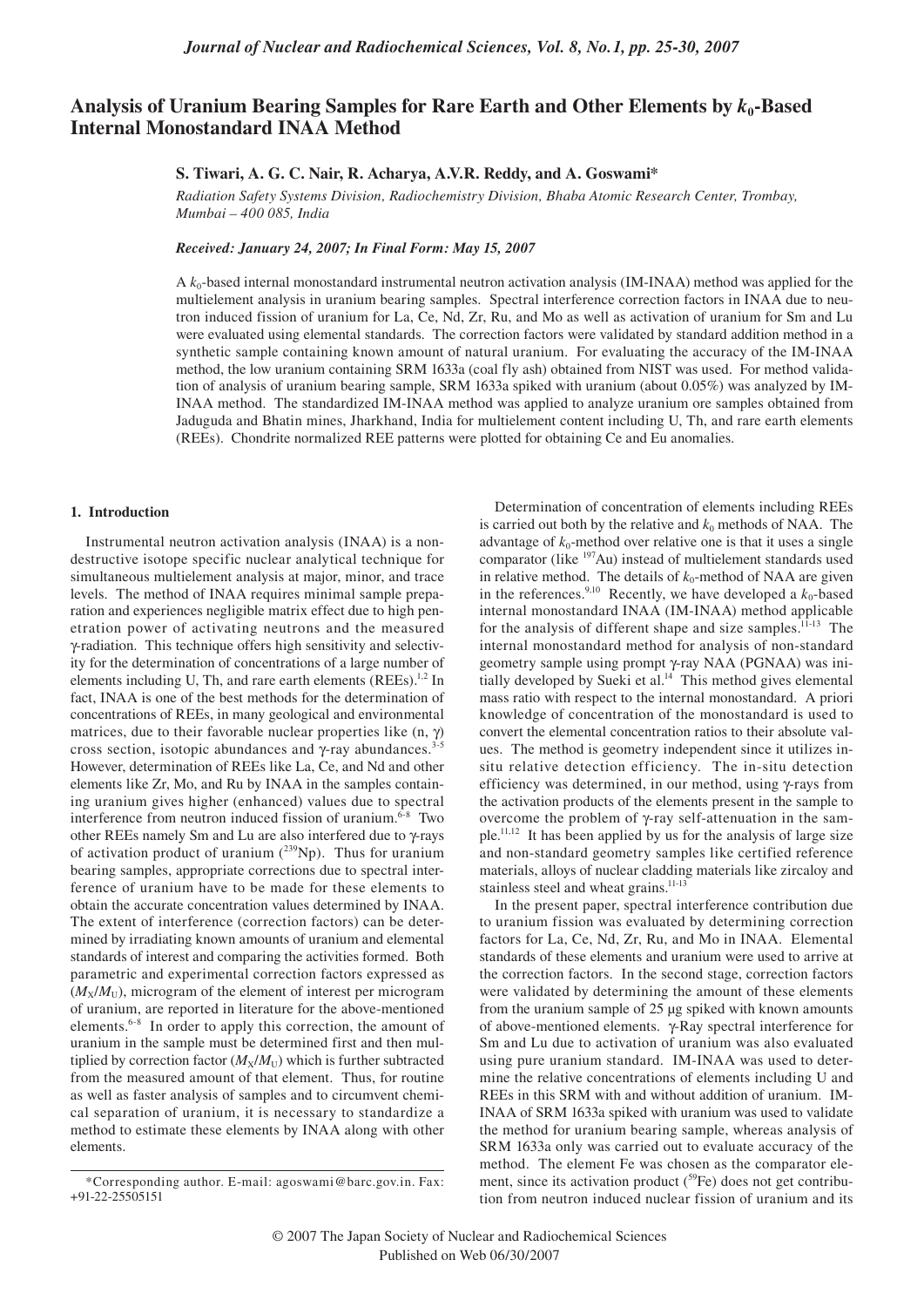# Analysis of Uranium Bearing Samples for Rare Earth and Other Elements by  $k_0$ -Based **Internal Monostandard INAA Method**

# **S. Tiwari, A. G. C. Nair, R. Acharya, A.V.R. Reddy, and A. Goswami\***

*Radiation Safety Systems Division, Radiochemistry Division, Bhaba Atomic Research Center, Trombay, Mumbai – 400 085, India*

*Received: January 24, 2007; In Final Form: May 15, 2007*

A  $k_0$ -based internal monostandard instrumental neutron activation analysis (IM-INAA) method was applied for the multielement analysis in uranium bearing samples. Spectral interference correction factors in INAA due to neutron induced fission of uranium for La, Ce, Nd, Zr, Ru, and Mo as well as activation of uranium for Sm and Lu were evaluated using elemental standards. The correction factors were validated by standard addition method in a synthetic sample containing known amount of natural uranium. For evaluating the accuracy of the IM-INAA method, the low uranium containing SRM 1633a (coal fly ash) obtained from NIST was used. For method validation of analysis of uranium bearing sample, SRM 1633a spiked with uranium (about 0.05%) was analyzed by IM-INAA method. The standardized IM-INAA method was applied to analyze uranium ore samples obtained from Jaduguda and Bhatin mines, Jharkhand, India for multielement content including U, Th, and rare earth elements (REEs). Chondrite normalized REE patterns were plotted for obtaining Ce and Eu anomalies.

### **1. Introduction**

Instrumental neutron activation analysis (INAA) is a nondestructive isotope specific nuclear analytical technique for simultaneous multielement analysis at major, minor, and trace levels. The method of INAA requires minimal sample preparation and experiences negligible matrix effect due to high penetration power of activating neutrons and the measured γ-radiation. This technique offers high sensitivity and selectivity for the determination of concentrations of a large number of elements including U, Th, and rare earth elements  $(REEs)$ <sup>1,2</sup> In fact, INAA is one of the best methods for the determination of concentrations of REEs, in many geological and environmental matrices, due to their favorable nuclear properties like  $(n, \gamma)$ cross section, isotopic abundances and γ-ray abundances.<sup>3</sup> However, determination of REEs like La, Ce, and Nd and other elements like Zr, Mo, and Ru by INAA in the samples containing uranium gives higher (enhanced) values due to spectral interference from neutron induced fission of uranium.<sup>6-8</sup> Two other REEs namely Sm and Lu are also interfered due to γ-rays of activation product of uranium  $(^{239}Np)$ . Thus for uranium bearing samples, appropriate corrections due to spectral interference of uranium have to be made for these elements to obtain the accurate concentration values determined by INAA. The extent of interference (correction factors) can be determined by irradiating known amounts of uranium and elemental standards of interest and comparing the activities formed. Both parametric and experimental correction factors expressed as  $(M_X/M_U)$ , microgram of the element of interest per microgram of uranium, are reported in literature for the above-mentioned elements.6-8 In order to apply this correction, the amount of uranium in the sample must be determined first and then multiplied by correction factor  $(M_X/M_U)$  which is further subtracted from the measured amount of that element. Thus, for routine as well as faster analysis of samples and to circumvent chemical separation of uranium, it is necessary to standardize a method to estimate these elements by INAA along with other elements.

Determination of concentration of elements including REEs is carried out both by the relative and  $k_0$  methods of NAA. The advantage of  $k_0$ -method over relative one is that it uses a single comparator (like 197Au) instead of multielement standards used in relative method. The details of  $k_0$ -method of NAA are given in the references.<sup>9,10</sup> Recently, we have developed a  $k_0$ -based internal monostandard INAA (IM-INAA) method applicable for the analysis of different shape and size samples.<sup>11-13</sup> The internal monostandard method for analysis of non-standard geometry sample using prompt γ-ray NAA (PGNAA) was initially developed by Sueki et al.<sup>14</sup> This method gives elemental mass ratio with respect to the internal monostandard. A priori knowledge of concentration of the monostandard is used to convert the elemental concentration ratios to their absolute values. The method is geometry independent since it utilizes insitu relative detection efficiency. The in-situ detection efficiency was determined, in our method, using γ-rays from the activation products of the elements present in the sample to overcome the problem of γ-ray self-attenuation in the sample.11,12 It has been applied by us for the analysis of large size and non-standard geometry samples like certified reference materials, alloys of nuclear cladding materials like zircaloy and stainless steel and wheat grains.<sup>11-13</sup>

In the present paper, spectral interference contribution due to uranium fission was evaluated by determining correction factors for La, Ce, Nd, Zr, Ru, and Mo in INAA. Elemental standards of these elements and uranium were used to arrive at the correction factors. In the second stage, correction factors were validated by determining the amount of these elements from the uranium sample of 25 µg spiked with known amounts of above-mentioned elements. γ-Ray spectral interference for Sm and Lu due to activation of uranium was also evaluated using pure uranium standard. IM-INAA was used to determine the relative concentrations of elements including U and REEs in this SRM with and without addition of uranium. IM-INAA of SRM 1633a spiked with uranium was used to validate the method for uranium bearing sample, whereas analysis of SRM 1633a only was carried out to evaluate accuracy of the method. The element Fe was chosen as the comparator element, since its activation product  $(^{59}Fe)$  does not get contribution from neutron induced nuclear fission of uranium and its

<sup>\*</sup>Corresponding author. E-mail: agoswami@barc.gov.in. Fax: +91-22-25505151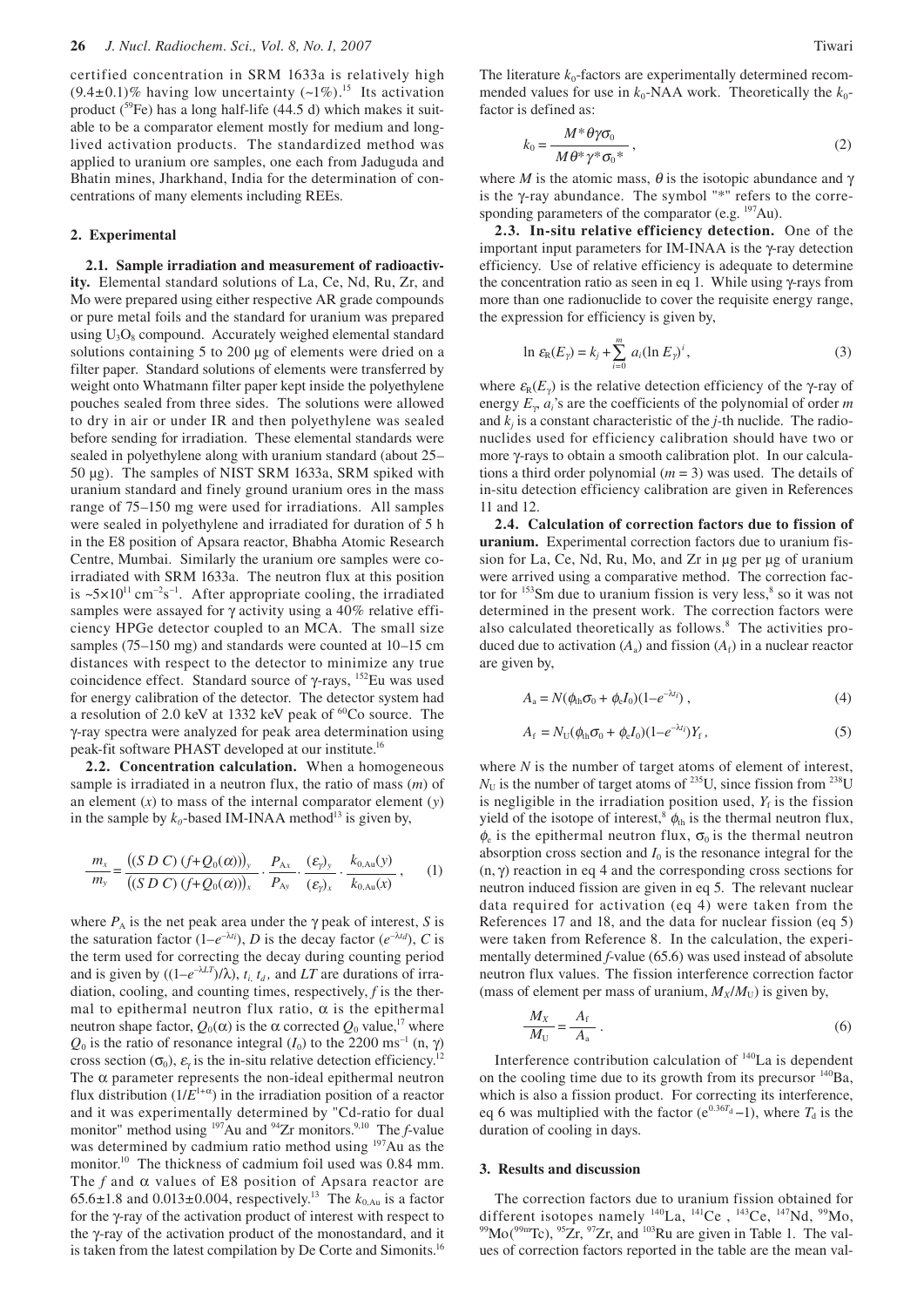certified concentration in SRM 1633a is relatively high  $(9.4\pm0.1)\%$  having low uncertainty  $(\sim1\%)$ .<sup>15</sup> Its activation product ( ${}^{59}Fe$ ) has a long half-life (44.5 d) which makes it suitable to be a comparator element mostly for medium and longlived activation products. The standardized method was applied to uranium ore samples, one each from Jaduguda and Bhatin mines, Jharkhand, India for the determination of concentrations of many elements including REEs.

#### **2. Experimental**

**2.1. Sample irradiation and measurement of radioactivity.** Elemental standard solutions of La, Ce, Nd, Ru, Zr, and Mo were prepared using either respective AR grade compounds or pure metal foils and the standard for uranium was prepared using  $U_3O_8$  compound. Accurately weighed elemental standard solutions containing 5 to 200 µg of elements were dried on a filter paper. Standard solutions of elements were transferred by weight onto Whatmann filter paper kept inside the polyethylene pouches sealed from three sides. The solutions were allowed to dry in air or under IR and then polyethylene was sealed before sending for irradiation. These elemental standards were sealed in polyethylene along with uranium standard (about 25– 50 µg). The samples of NIST SRM 1633a, SRM spiked with uranium standard and finely ground uranium ores in the mass range of 75–150 mg were used for irradiations. All samples were sealed in polyethylene and irradiated for duration of 5 h in the E8 position of Apsara reactor, Bhabha Atomic Research Centre, Mumbai. Similarly the uranium ore samples were coirradiated with SRM 1633a. The neutron flux at this position is  $\approx 5 \times 10^{11} \text{ cm}^{-2} \text{s}^{-1}$ . After appropriate cooling, the irradiated samples were assayed for γ activity using a 40% relative efficiency HPGe detector coupled to an MCA. The small size samples (75–150 mg) and standards were counted at 10–15 cm distances with respect to the detector to minimize any true coincidence effect.Standard source of γ-rays, 152Eu was used for energy calibration of the detector. The detector system had a resolution of 2.0 keV at 1332 keV peak of 60Co source.The γ-ray spectra were analyzed for peak area determination using peak-fit software PHAST developed at our institute.16

**2.2. Concentration calculation.** When a homogeneous sample is irradiated in a neutron flux, the ratio of mass (*m*) of an element (*x*) to mass of the internal comparator element (*y*) in the sample by  $k_0$ -based IM-INAA method<sup>13</sup> is given by,

$$
\frac{m_x}{m_y} = \frac{((S \ D \ C) (f+Q_0(\alpha)))_y}{((S \ D \ C) (f+Q_0(\alpha)))_x} \cdot \frac{P_{Ax}}{P_{Ay}} \cdot \frac{(\varepsilon_y)_y}{(\varepsilon_y)_x} \cdot \frac{k_{0,Au}(y)}{k_{0,Au}(x)}, \qquad (1)
$$

where  $P_A$  is the net peak area under the  $\gamma$  peak of interest, *S* is the saturation factor  $(1-e^{-\lambda t_i})$ , *D* is the decay factor  $(e^{-\lambda t_d})$ , *C* is the term used for correcting the decay during counting period and is given by  $((1-e^{-\lambda LT})/\lambda)$ ,  $t_i$ ,  $t_d$ , and *LT* are durations of irradiation, cooling, and counting times, respectively, *f* is the thermal to epithermal neutron flux ratio,  $\alpha$  is the epithermal neutron shape factor,  $Q_0(α)$  is the α corrected  $Q_0$  value,<sup>17</sup> where  $Q_0$  is the ratio of resonance integral (*I*<sub>0</sub>) to the 2200 ms<sup>-1</sup> (n,  $\gamma$ ) cross section ( $\sigma_0$ ),  $\varepsilon_\gamma$  is the in-situ relative detection efficiency.<sup>12</sup> The  $\alpha$  parameter represents the non-ideal epithermal neutron flux distribution  $(1/E^{1+\alpha})$  in the irradiation position of a reactor and it was experimentally determined by "Cd-ratio for dual monitor" method using <sup>197</sup>Au and <sup>94</sup>Zr monitors.<sup>9,10</sup> The *f*-value was determined by cadmium ratio method using <sup>197</sup>Au as the monitor.<sup>10</sup> The thickness of cadmium foil used was 0.84 mm. The  $f$  and  $\alpha$  values of E8 position of Apsara reactor are 65.6 $\pm$ 1.8 and 0.013 $\pm$ 0.004, respectively.<sup>13</sup> The  $k_{0, Au}$  is a factor for the γ-ray of the activation product of interest with respect to the γ-ray of the activation product of the monostandard, and it is taken from the latest compilation by De Corte and Simonits.<sup>16</sup>

The literature  $k_0$ -factors are experimentally determined recommended values for use in  $k_0$ -NAA work. Theoretically the  $k_0$ factor is defined as:

$$
k_0 = \frac{M^* \theta \gamma \sigma_0}{M \theta^* \gamma^* \sigma_0^*},
$$
\n(2)

where *M* is the atomic mass,  $\theta$  is the isotopic abundance and  $\gamma$ is the γ-ray abundance. The symbol "\*" refers to the corresponding parameters of the comparator (e.g. <sup>197</sup>Au).

**2.3. In-situ relative efficiency detection.**One of the important input parameters for IM-INAA is the γ-ray detection efficiency. Use of relative efficiency is adequate to determine the concentration ratio as seen in eq 1. While using γ-rays from more than one radionuclide to cover the requisite energy range, the expression for efficiency is given by,

$$
\ln \varepsilon_{\mathsf{R}}(E_{\gamma}) = k_j + \sum_{i=0}^{m} a_i (\ln E_{\gamma})^i, \tag{3}
$$

where  $\varepsilon_R(E_\gamma)$  is the relative detection efficiency of the γ-ray of energy *E*γ, *ai*'s are the coefficients of the polynomial of order *m* and  $k_i$  is a constant characteristic of the *j*-th nuclide. The radionuclides used for efficiency calibration should have two or more γ-rays to obtain a smooth calibration plot. In our calculations a third order polynomial (*m* = 3) was used. The details of in-situ detection efficiency calibration are given in References 11 and 12.

**2.4. Calculation of correction factors due to fission of uranium.** Experimental correction factors due to uranium fission for La, Ce, Nd, Ru, Mo, and Zr in µg per µg of uranium were arrived using a comparative method. The correction factor for  $153$ Sm due to uranium fission is very less,  $8$  so it was not determined in the present work. The correction factors were also calculated theoretically as follows.<sup>8</sup> The activities produced due to activation  $(A_a)$  and fission  $(A_f)$  in a nuclear reactor are given by,

$$
A_{\rm a} = N(\phi_{\rm th}\sigma_0 + \phi_{\rm e}I_0)(1 - e^{-\lambda t_i})\,,\tag{4}
$$

$$
A_{\rm f} = N_{\rm U}(\phi_{\rm th}\sigma_0 + \phi_{\rm e}I_0)(1 - e^{-\lambda t})Y_{\rm f},\qquad(5)
$$

where *N* is the number of target atoms of element of interest,  $N_U$  is the number of target atoms of <sup>235</sup>U, since fission from <sup>238</sup>U is negligible in the irradiation position used,  $Y_f$  is the fission yield of the isotope of interest,<sup>8</sup>  $\phi$ <sub>th</sub> is the thermal neutron flux,  $\phi_e$  is the epithermal neutron flux,  $\sigma_0$  is the thermal neutron absorption cross section and  $I_0$  is the resonance integral for the  $(n, \gamma)$  reaction in eq 4 and the corresponding cross sections for neutron induced fission are given in eq 5.The relevant nuclear data required for activation (eq 4) were taken from the References 17 and 18, and the data for nuclear fission (eq 5) were taken from Reference 8. In the calculation, the experimentally determined *f*-value (65.6) was used instead of absolute neutron flux values. The fission interference correction factor (mass of element per mass of uranium,  $M_X/M_U$ ) is given by,

$$
\frac{M_X}{M_U} = \frac{A_f}{A_a} \,. \tag{6}
$$

Interference contribution calculation of 140La is dependent on the cooling time due to its growth from its precursor <sup>140</sup>Ba, which is also a fission product. For correcting its interference, eq 6 was multiplied with the factor ( $e^{0.36T_d}-1$ ), where  $T_d$  is the duration of cooling in days.

## **3. Results and discussion**

The correction factors due to uranium fission obtained for different isotopes namely <sup>140</sup>La, <sup>141</sup>Ce, <sup>143</sup>Ce, <sup>147</sup>Nd, <sup>99</sup>Mo, <sup>99</sup>Mo(<sup>99m</sup>Tc), <sup>95</sup>Zr, <sup>97</sup>Zr, and <sup>103</sup>Ru are given in Table 1. The values of correction factors reported in the table are the mean val-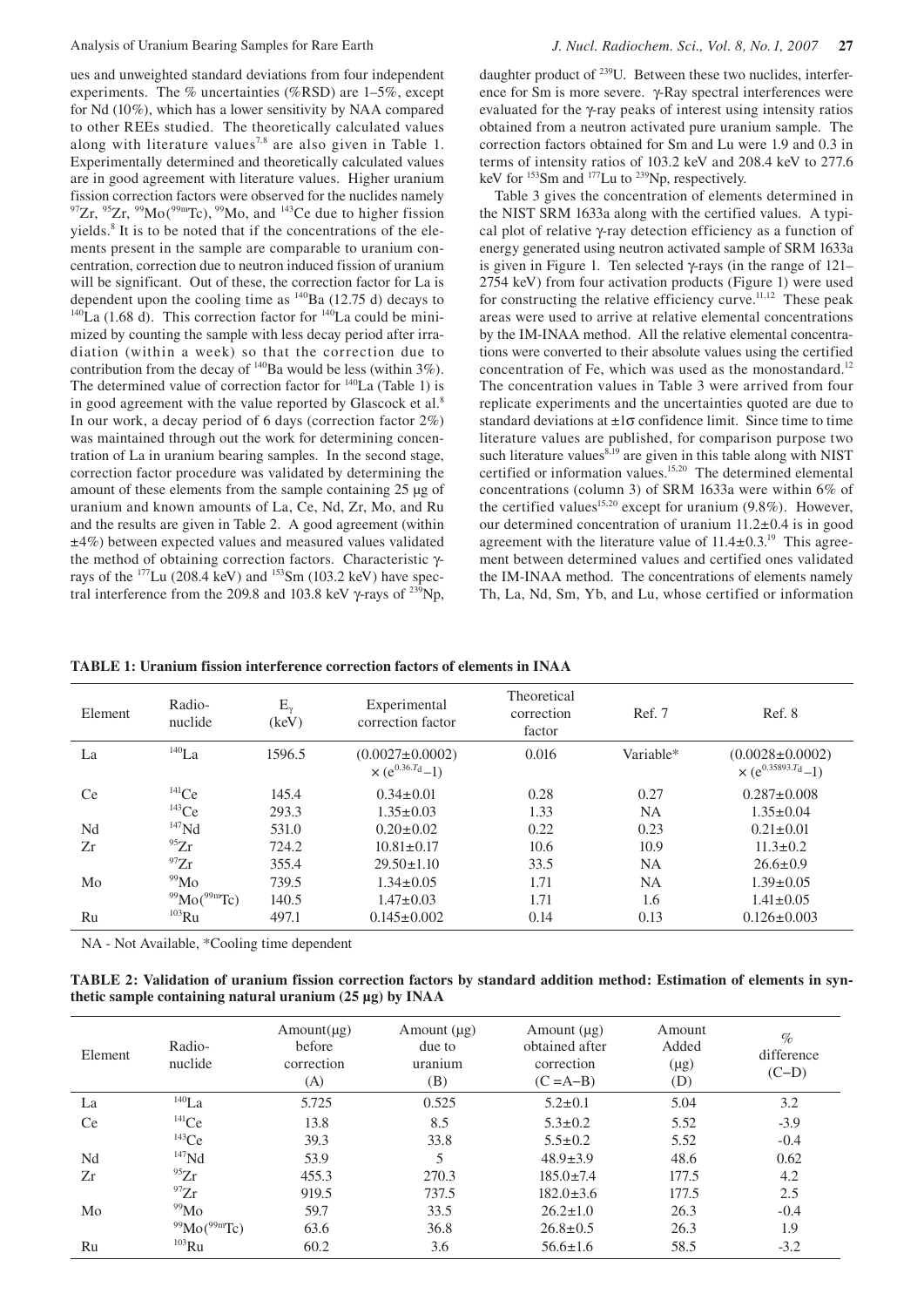experiments. The % uncertainties (%RSD) are 1–5%, except for Nd (10%), which has a lower sensitivity by NAA compared to other REEs studied. The theoretically calculated values along with literature values<sup>7,8</sup> are also given in Table 1. Experimentally determined and theoretically calculated values are in good agreement with literature values. Higher uranium fission correction factors were observed for the nuclides namely  $^{97}Zr$ ,  $^{95}Zr$ ,  $^{99}Mo(^{99m}Tc)$ ,  $^{99}Mo$ , and  $^{143}Ce$  due to higher fission yields.<sup>8</sup> It is to be noted that if the concentrations of the elements present in the sample are comparable to uranium concentration, correction due to neutron induced fission of uranium will be significant. Out of these, the correction factor for La is dependent upon the cooling time as  $\frac{140}{Ba}$  (12.75 d) decays to  $\hat{L}^{140}$ La (1.68 d). This correction factor for <sup>140</sup>La could be minimized by counting the sample with less decay period after irradiation (within a week) so that the correction due to contribution from the decay of  $140$ Ba would be less (within 3%). The determined value of correction factor for  $140$ La (Table 1) is in good agreement with the value reported by Glascock et al.<sup>8</sup> In our work, a decay period of 6 days (correction factor 2%) was maintained through out the work for determining concentration of La in uranium bearing samples. In the second stage, correction factor procedure was validated by determining the amount of these elements from the sample containing 25 µg of uranium and known amounts of La, Ce, Nd, Zr, Mo, and Ru and the results are given in Table 2. A good agreement (within ±4%) between expected values and measured values validated the method of obtaining correction factors. Characteristic γrays of the  $177$ Lu (208.4 keV) and  $153$ Sm (103.2 keV) have spectral interference from the 209.8 and 103.8 keV  $\gamma$ -rays of <sup>239</sup>Np, ence for Sm is more severe. γ-Ray spectral interferences were evaluated for the γ-ray peaks of interest using intensity ratios obtained from a neutron activated pure uranium sample. The correction factors obtained for Sm and Lu were 1.9 and 0.3 in terms of intensity ratios of 103.2 keV and 208.4 keV to 277.6 keV for <sup>153</sup>Sm and <sup>177</sup>Lu to <sup>239</sup>Np, respectively.

Table 3 gives the concentration of elements determined in the NIST SRM 1633a along with the certified values. A typical plot of relative γ-ray detection efficiency as a function of energy generated using neutron activated sample of SRM 1633a is given in Figure 1. Ten selected  $\gamma$ -rays (in the range of 121– 2754 keV) from four activation products (Figure 1) were used for constructing the relative efficiency curve.<sup>11,12</sup> These peak areas were used to arrive at relative elemental concentrations by the IM-INAA method. All the relative elemental concentrations were converted to their absolute values using the certified concentration of Fe, which was used as the monostandard.<sup>12</sup> The concentration values in Table 3 were arrived from four replicate experiments and the uncertainties quoted are due to standard deviations at  $\pm 1\sigma$  confidence limit. Since time to time literature values are published, for comparison purpose two such literature values $8,19$  are given in this table along with NIST certified or information values.<sup>15,20</sup> The determined elemental concentrations (column 3) of SRM 1633a were within 6% of the certified values<sup>15,20</sup> except for uranium  $(9.8\%)$ . However, our determined concentration of uranium 11.2±0.4 is in good agreement with the literature value of  $11.4\pm0.3$ <sup>19</sup> This agreement between determined values and certified ones validated the IM-INAA method. The concentrations of elements namely Th, La, Nd, Sm, Yb, and Lu, whose certified or information

**TABLE 1: Uranium fission interference correction factors of elements in INAA** 

| Element   | Radio-<br>nuclide                 | $E_{\nu}$<br>(keV) | Experimental<br>correction factor                           | Theoretical<br>correction<br>factor | Ref. 7    | Ref. 8                                                |
|-----------|-----------------------------------|--------------------|-------------------------------------------------------------|-------------------------------------|-----------|-------------------------------------------------------|
| La        | $140$ La                          | 1596.5             | $(0.0027 \pm 0.0002)$<br>$\times$ (e <sup>0.36.7d</sup> -1) | 0.016                               | Variable* | $(0.0028 \pm 0.0002)$<br>$\times (e^{0.35893.T_d}-1)$ |
| <b>Ce</b> | $^{141}Ce$                        | 145.4              | $0.34 \pm 0.01$                                             | 0.28                                | 0.27      | $0.287 \pm 0.008$                                     |
|           | $^{143}Ce$                        | 293.3              | $1.35 \pm 0.03$                                             | 1.33                                | <b>NA</b> | $1.35 \pm 0.04$                                       |
| Nd        | $147$ Nd                          | 531.0              | $0.20 \pm 0.02$                                             | 0.22                                | 0.23      | $0.21 \pm 0.01$                                       |
| Zr        | $^{95}Zr$                         | 724.2              | $10.81 \pm 0.17$                                            | 10.6                                | 10.9      | $11.3 \pm 0.2$                                        |
|           | $^{97}Zr$                         | 355.4              | $29.50 \pm 1.10$                                            | 33.5                                | <b>NA</b> | $26.6 \pm 0.9$                                        |
| Mo        | $\rm^{99}Mo$                      | 739.5              | $1.34 \pm 0.05$                                             | 1.71                                | <b>NA</b> | $1.39 \pm 0.05$                                       |
|           | $99^{\circ}$ Mo( $99^{\circ}$ Tc) | 140.5              | $1.47 \pm 0.03$                                             | 1.71                                | 1.6       | $1.41 \pm 0.05$                                       |
| Ru        | $103$ Ru                          | 497.1              | $0.145 \pm 0.002$                                           | 0.14                                | 0.13      | $0.126 \pm 0.003$                                     |

NA - Not Available, \*Cooling time dependent

**TABLE 2: Validation of uranium fission correction factors by standard addition method: Estimation of elements in synthetic sample containing natural uranium (25 µg) by INAA**

| Element   | Radio-<br>nuclide        | Amount(µg)<br>before<br>correction<br>(A) | Amount $(\mu g)$<br>due to<br>uranium<br>(B) | Amount $(\mu g)$<br>obtained after<br>correction<br>$(C = A-B)$ | Amount<br>Added<br>$(\mu g)$<br>(D) | $\%$<br>difference<br>$(C-D)$ |
|-----------|--------------------------|-------------------------------------------|----------------------------------------------|-----------------------------------------------------------------|-------------------------------------|-------------------------------|
| La        | $^{140}La$               | 5.725                                     | 0.525                                        | $5.2 \pm 0.1$                                                   | 5.04                                | 3.2                           |
| <b>Ce</b> | $^{141}Ce$               | 13.8                                      | 8.5                                          | $5.3 \pm 0.2$                                                   | 5.52                                | $-3.9$                        |
|           | $143$ Ce                 | 39.3                                      | 33.8                                         | $5.5 \pm 0.2$                                                   | 5.52                                | $-0.4$                        |
| Nd        | $147$ Nd                 | 53.9                                      | 5                                            | $48.9 \pm 3.9$                                                  | 48.6                                | 0.62                          |
| Zr        | $^{95}Zr$                | 455.3                                     | 270.3                                        | $185.0 \pm 7.4$                                                 | 177.5                               | 4.2                           |
|           | $^{97}Zr$                | 919.5                                     | 737.5                                        | $182.0 \pm 3.6$                                                 | 177.5                               | 2.5                           |
| Mo        | 99M <sub>0</sub>         | 59.7                                      | 33.5                                         | $26.2 \pm 1.0$                                                  | 26.3                                | $-0.4$                        |
|           | $^{99}$ Mo( $^{99}$ mTc) | 63.6                                      | 36.8                                         | $26.8 \pm 0.5$                                                  | 26.3                                | 1.9                           |
| Ru        | $103$ Ru                 | 60.2                                      | 3.6                                          | $56.6 \pm 1.6$                                                  | 58.5                                | $-3.2$                        |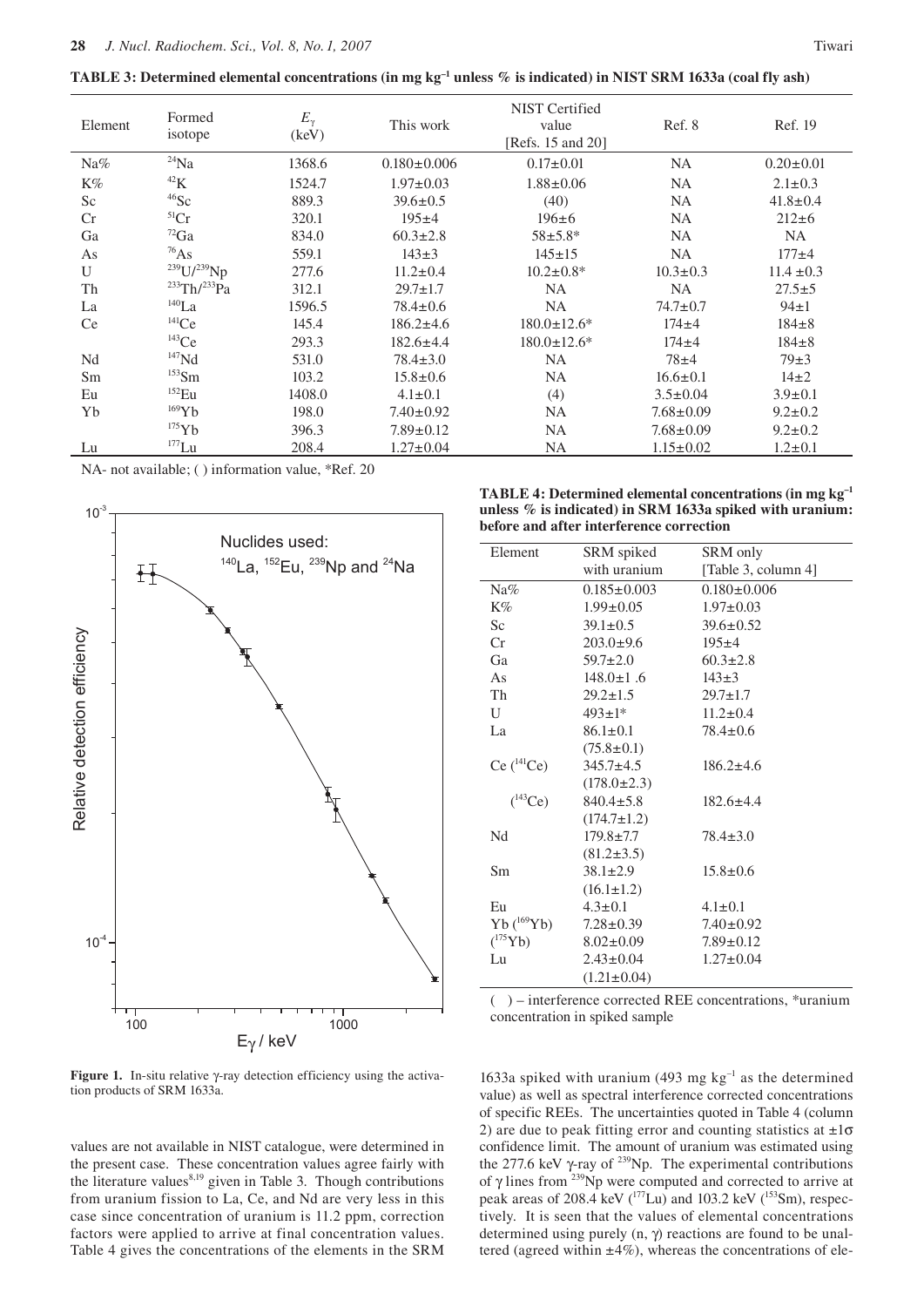**TABLE 3: Determined elemental concentrations (in mg kg<sup>-1</sup> unless % is indicated) in NIST SRM 1633a (coal fly ash)** 

|                | Formed                  |                       |                   | <b>NIST</b> Certified |                 |                 |
|----------------|-------------------------|-----------------------|-------------------|-----------------------|-----------------|-----------------|
| Element        | isotope                 | $E_{\gamma}$<br>(key) | This work         | value                 | Ref. 8          | Ref. 19         |
|                |                         |                       |                   | [Refs. 15 and 20]     |                 |                 |
| Na%            | $^{24}Na$               | 1368.6                | $0.180 \pm 0.006$ | $0.17 \pm 0.01$       | <b>NA</b>       | $0.20 \pm 0.01$ |
| K%             | ${}^{42}\mathrm{K}$     | 1524.7                | $1.97 \pm 0.03$   | $1.88 \pm 0.06$       | <b>NA</b>       | $2.1 \pm 0.3$   |
| S <sub>c</sub> | $^{46}$ Sc              | 889.3                 | $39.6 \pm 0.5$    | (40)                  | <b>NA</b>       | $41.8 \pm 0.4$  |
| Cr             | ${}^{51}Cr$             | 320.1                 | $195+4$           | $196 \pm 6$           | <b>NA</b>       | $212 \pm 6$     |
| Ga             | $^{72}Ga$               | 834.0                 | $60.3 \pm 2.8$    | $58 + 5.8*$           | <b>NA</b>       | <b>NA</b>       |
| As             | $^{76}As$               | 559.1                 | $143 \pm 3$       | $145 \pm 15$          | <b>NA</b>       | $177 + 4$       |
| $\mathbf{U}$   | $^{239}$ U/ $^{239}$ Np | 277.6                 | $11.2 \pm 0.4$    | $10.2 \pm 0.8*$       | $10.3 \pm 0.3$  | $11.4 \pm 0.3$  |
| Th             | $^{233}Th/^{233}Pa$     | 312.1                 | $29.7 \pm 1.7$    | <b>NA</b>             | NA              | $27.5 \pm 5$    |
| La             | $140$ La                | 1596.5                | $78.4 \pm 0.6$    | <b>NA</b>             | $74.7 \pm 0.7$  | $94\pm1$        |
| Ce             | 141Ce                   | 145.4                 | $186.2 \pm 4.6$   | $180.0 \pm 12.6^*$    | $174 + 4$       | $184 + 8$       |
|                | $143$ Ce                | 293.3                 | $182.6 \pm 4.4$   | $180.0 \pm 12.6^*$    | $174 + 4$       | $184 + 8$       |
| Nd             | $147$ Nd                | 531.0                 | $78.4 \pm 3.0$    | <b>NA</b>             | $78 + 4$        | $79\pm3$        |
| Sm             | $153$ Sm                | 103.2                 | $15.8 \pm 0.6$    | <b>NA</b>             | $16.6 \pm 0.1$  | $14\pm2$        |
| Eu             | $152$ Eu                | 1408.0                | $4.1 \pm 0.1$     | (4)                   | $3.5 \pm 0.04$  | $3.9 \pm 0.1$   |
| Yb             | $169$ Yb                | 198.0                 | $7.40 \pm 0.92$   | <b>NA</b>             | $7.68 \pm 0.09$ | $9.2 \pm 0.2$   |
|                | 175Yb                   | 396.3                 | $7.89 \pm 0.12$   | <b>NA</b>             | $7.68 \pm 0.09$ | $9.2 \pm 0.2$   |
| Lu             | $177$ Lu                | 208.4                 | $1.27 \pm 0.04$   | <b>NA</b>             | $1.15 \pm 0.02$ | $1.2 \pm 0.1$   |

NA- not available; ( ) information value, \*Ref. 20



**TABLE 4: Determined elemental concentrations (in mg kg–1 unless % is indicated) in SRM 1633a spiked with uranium: before and after interference correction**

| Element        | SRM spiked        | SRM only            |  |
|----------------|-------------------|---------------------|--|
|                | with uranium      | [Table 3, column 4] |  |
| Na%            | $0.185 \pm 0.003$ | $0.180 \pm 0.006$   |  |
| K%             | $1.99 \pm 0.05$   | $1.97 \pm 0.03$     |  |
| Sc             | $39.1 \pm 0.5$    | $39.6 \pm 0.52$     |  |
| Cr             | $203.0 \pm 9.6$   | $195 \pm 4$         |  |
| Ga             | $59.7 \pm 2.0$    | $60.3 \pm 2.8$      |  |
| As             | $148.0 \pm 1.6$   | $143 \pm 3$         |  |
| Th             | $29.2 \pm 1.5$    | $29.7 \pm 1.7$      |  |
| $\mathbf{U}$   | $493 \pm 1*$      | $11.2 \pm 0.4$      |  |
| La             | $86.1 \pm 0.1$    | $78.4 \pm 0.6$      |  |
|                | $(75.8 \pm 0.1)$  |                     |  |
| $Ce(^{141}Ce)$ | $345.7 \pm 4.5$   | $186.2 \pm 4.6$     |  |
|                | $(178.0 \pm 2.3)$ |                     |  |
| $(^{143}Ce)$   | $840.4 \pm 5.8$   | $182.6 \pm 4.4$     |  |
|                | $(174.7 \pm 1.2)$ |                     |  |
| Nd             | $179.8 \pm 7.7$   | $78.4 \pm 3.0$      |  |
|                | $(81.2 \pm 3.5)$  |                     |  |
| Sm             | $38.1 \pm 2.9$    | $15.8 \pm 0.6$      |  |
|                | $(16.1 \pm 1.2)$  |                     |  |
| Eu             | $4.3 \pm 0.1$     | $4.1 \pm 0.1$       |  |
| $Yb(^{169}Yb)$ | $7.28 \pm 0.39$   | $7.40 \pm 0.92$     |  |
| $(^{175}Yb)$   | $8.02 \pm 0.09$   | $7.89 \pm 0.12$     |  |
| Lu             | $2.43 \pm 0.04$   | $1.27 \pm 0.04$     |  |
|                | $(1.21 \pm 0.04)$ |                     |  |

( ) – interference corrected REE concentrations, \*uranium concentration in spiked sample

**Figure 1.** In-situ relative γ-ray detection efficiency using the activation products of SRM 1633a.

values are not available in NIST catalogue, were determined in the present case. These concentration values agree fairly with the literature values $8,19$  given in Table 3. Though contributions from uranium fission to La, Ce, and Nd are very less in this case since concentration of uranium is 11.2 ppm, correction factors were applied to arrive at final concentration values. Table 4 gives the concentrations of the elements in the SRM

1633a spiked with uranium (493 mg  $kg^{-1}$  as the determined value) as well as spectral interference corrected concentrations of specific REEs. The uncertainties quoted in Table 4 (column 2) are due to peak fitting error and counting statistics at  $\pm 1\sigma$ confidence limit. The amount of uranium was estimated using the 277.6 keV  $\gamma$ -ray of <sup>239</sup>Np. The experimental contributions of  $\gamma$  lines from <sup>239</sup>Np were computed and corrected to arrive at peak areas of 208.4 keV  $(^{177}$ Lu) and 103.2 keV  $(^{153}$ Sm), respectively. It is seen that the values of elemental concentrations determined using purely  $(n, \gamma)$  reactions are found to be unaltered (agreed within  $\pm 4\%$ ), whereas the concentrations of ele-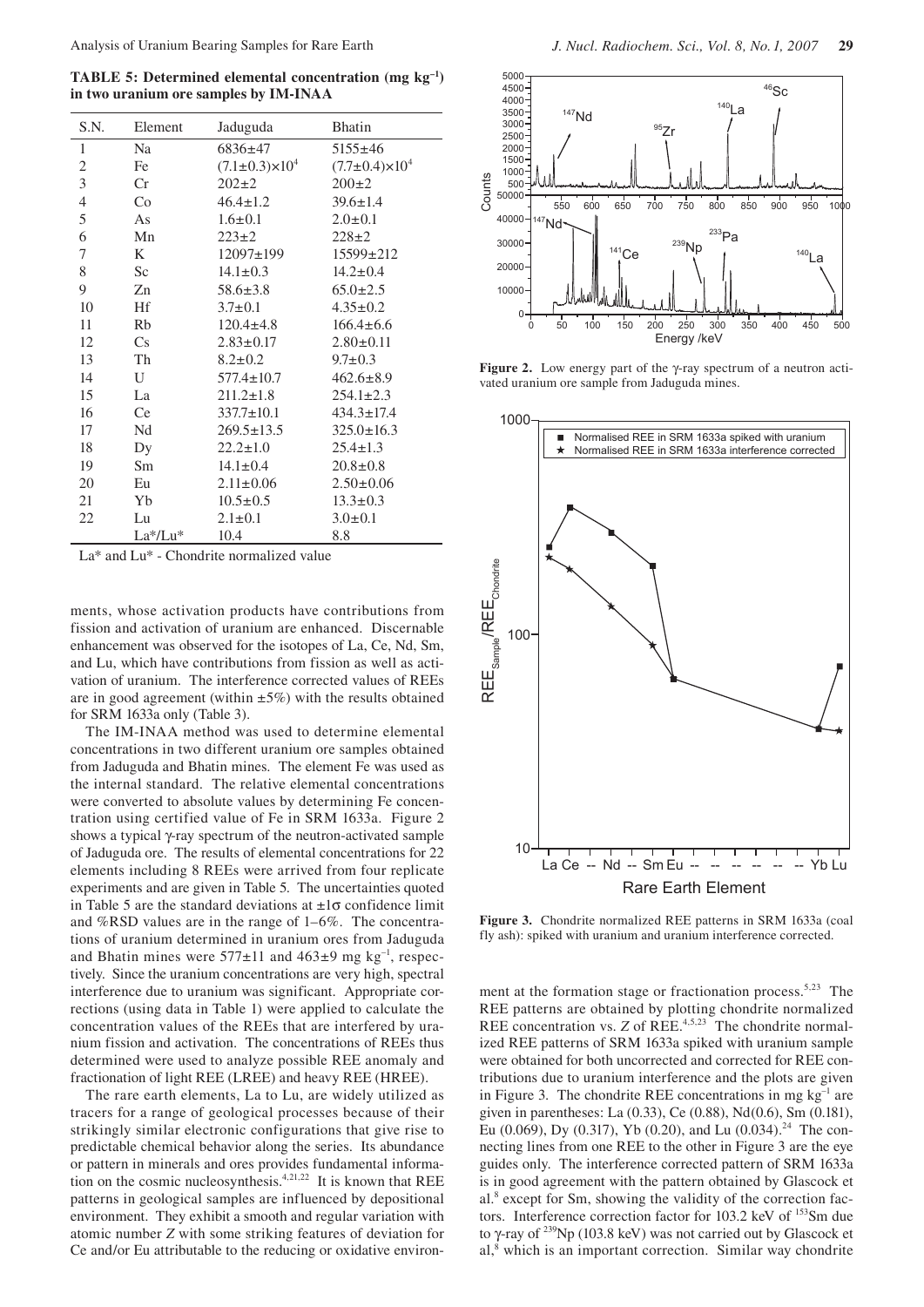**TABLE 5: Determined elemental concentration (mg kg–1) in two uranium ore samples by IM-INAA**

| S.N.           | Element | Jaduguda                    | <b>Bhatin</b>               |
|----------------|---------|-----------------------------|-----------------------------|
| 1              | Na      | $6836 \pm 47$               | $5155 \pm 46$               |
| 2              | Fe      | $(7.1 \pm 0.3) \times 10^4$ | $(7.7 \pm 0.4) \times 10^4$ |
| $\overline{3}$ | Cr      | $202+2$                     | $200+2$                     |
| $\overline{4}$ | Co      | $46.4 \pm 1.2$              | $39.6 \pm 1.4$              |
| 5              | As      | $1.6 \pm 0.1$               | $2.0 \pm 0.1$               |
| 6              | Mn      | $223 \pm 2$                 | $228 + 2$                   |
| 7              | K       | 12097±199                   | $15599 \pm 212$             |
| 8              | Sc      | $14.1 \pm 0.3$              | $14.2 \pm 0.4$              |
| 9              | Zn      | $58.6 \pm 3.8$              | $65.0 \pm 2.5$              |
| 10             | Hf      | $3.7 \pm 0.1$               | $4.35 \pm 0.2$              |
| 11             | Rb      | $120.4 \pm 4.8$             | $166.4 \pm 6.6$             |
| 12             | Cs      | $2.83 \pm 0.17$             | $2.80 \pm 0.11$             |
| 13             | Th      | $8.2 \pm 0.2$               | $9.7 \pm 0.3$               |
| 14             | U       | $577.4 \pm 10.7$            | $462.6 \pm 8.9$             |
| 15             | La      | $211.2 \pm 1.8$             | $254.1 \pm 2.3$             |
| 16             | Ce      | $337.7 \pm 10.1$            | $434.3 \pm 17.4$            |
| 17             | Nd      | $269.5 \pm 13.5$            | $325.0 \pm 16.3$            |
| 18             | Dy      | $22.2 \pm 1.0$              | $25.4 \pm 1.3$              |
| 19             | Sm      | $14.1 \pm 0.4$              | $20.8 \pm 0.8$              |
| 20             | Eu      | $2.11 \pm 0.06$             | $2.50 \pm 0.06$             |
| 21             | Yb      | $10.5 \pm 0.5$              | $13.3 \pm 0.3$              |
| 22             | Lu      | $2.1 \pm 0.1$               | $3.0 \pm 0.1$               |
|                | La*/Lu* | 10.4                        | 8.8                         |

La\* and Lu\* - Chondrite normalized value

ments, whose activation products have contributions from fission and activation of uranium are enhanced. Discernable enhancement was observed for the isotopes of La, Ce, Nd, Sm, and Lu, which have contributions from fission as well as activation of uranium. The interference corrected values of REEs are in good agreement (within  $\pm 5\%$ ) with the results obtained for SRM 1633a only (Table 3).

The IM-INAA method was used to determine elemental concentrations in two different uranium ore samples obtained from Jaduguda and Bhatin mines. The element Fe was used as the internal standard. The relative elemental concentrations were converted to absolute values by determining Fe concentration using certified value of Fe in SRM 1633a. Figure 2 shows a typical γ-ray spectrum of the neutron-activated sample of Jaduguda ore. The results of elemental concentrations for 22 elements including 8 REEs were arrived from four replicate experiments and are given in Table 5. The uncertainties quoted in Table 5 are the standard deviations at  $\pm 1\sigma$  confidence limit and %RSD values are in the range of 1–6%. The concentrations of uranium determined in uranium ores from Jaduguda and Bhatin mines were  $577\pm11$  and  $463\pm9$  mg kg<sup>-1</sup>, respectively. Since the uranium concentrations are very high, spectral interference due to uranium was significant. Appropriate corrections (using data in Table 1) were applied to calculate the concentration values of the REEs that are interfered by uranium fission and activation. The concentrations of REEs thus determined were used to analyze possible REE anomaly and fractionation of light REE (LREE) and heavy REE (HREE).

The rare earth elements, La to Lu, are widely utilized as tracers for a range of geological processes because of their strikingly similar electronic configurations that give rise to predictable chemical behavior along the series. Its abundance or pattern in minerals and ores provides fundamental information on the cosmic nucleosynthesis.<sup>4,21,22</sup> It is known that REE patterns in geological samples are influenced by depositional environment. They exhibit a smooth and regular variation with atomic number *Z* with some striking features of deviation for Ce and/or Eu attributable to the reducing or oxidative environ-



**Figure 2.** Low energy part of the γ-ray spectrum of a neutron activated uranium ore sample from Jaduguda mines.



**Figure 3.** Chondrite normalized REE patterns in SRM 1633a (coal fly ash): spiked with uranium and uranium interference corrected.

ment at the formation stage or fractionation process.<sup>5,23</sup> The REE patterns are obtained by plotting chondrite normalized REE concentration vs. *Z* of REE.<sup>4,5,23</sup> The chondrite normalized REE patterns of SRM 1633a spiked with uranium sample were obtained for both uncorrected and corrected for REE contributions due to uranium interference and the plots are given in Figure 3. The chondrite REE concentrations in mg  $kg^{-1}$  are given in parentheses: La (0.33), Ce (0.88), Nd(0.6), Sm (0.181), Eu (0.069), Dy (0.317), Yb (0.20), and Lu (0.034).<sup>24</sup> The connecting lines from one REE to the other in Figure 3 are the eye guides only. The interference corrected pattern of SRM 1633a is in good agreement with the pattern obtained by Glascock et al.<sup>8</sup> except for Sm, showing the validity of the correction factors. Interference correction factor for 103.2 keV of <sup>153</sup>Sm due to γ-ray of 239Np (103.8 keV) was not carried out by Glascock et al,<sup>8</sup> which is an important correction. Similar way chondrite